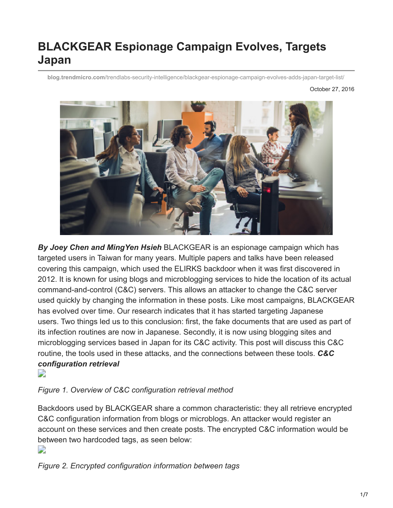# **BLACKGEAR Espionage Campaign Evolves, Targets Japan**

**blog.trendmicro.com**[/trendlabs-security-intelligence/blackgear-espionage-campaign-evolves-adds-japan-target-list/](https://blog.trendmicro.com/trendlabs-security-intelligence/blackgear-espionage-campaign-evolves-adds-japan-target-list/)

October 27, 2016



*By Joey Chen and MingYen Hsieh* BLACKGEAR is an espionage campaign which has targeted users in Taiwan for many years. Multiple papers and talks have been released covering this campaign, which used the ELIRKS backdoor when it was first discovered in 2012. It is known for using blogs and microblogging services to hide the location of its actual command-and-control (C&C) servers. This allows an attacker to change the C&C server used quickly by changing the information in these posts. Like most campaigns, BLACKGEAR has evolved over time. Our research indicates that it has started targeting Japanese users. Two things led us to this conclusion: first, the fake documents that are used as part of its infection routines are now in Japanese. Secondly, it is now using blogging sites and microblogging services based in Japan for its C&C activity. This post will discuss this C&C routine, the tools used in these attacks, and the connections between these tools. *C&C configuration retrieval*  $\overline{\phantom{a}}$ 

#### *Figure 1. Overview of C&C configuration retrieval method*

Backdoors used by BLACKGEAR share a common characteristic: they all retrieve encrypted C&C configuration information from blogs or microblogs. An attacker would register an account on these services and then create posts. The encrypted C&C information would be between two hardcoded tags, as seen below: D

*Figure 2. Encrypted configuration information between tags*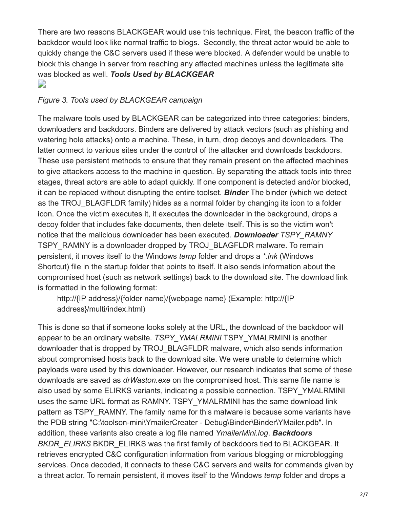There are two reasons BLACKGEAR would use this technique. First, the beacon traffic of the backdoor would look like normal traffic to blogs. Secondly, the threat actor would be able to quickly change the C&C servers used if these were blocked. A defender would be unable to block this change in server from reaching any affected machines unless the legitimate site was blocked as well. *Tools Used by BLACKGEAR*  $\overline{\phantom{a}}$ 

#### *Figure 3. Tools used by BLACKGEAR campaign*

The malware tools used by BLACKGEAR can be categorized into three categories: binders, downloaders and backdoors. Binders are delivered by attack vectors (such as phishing and watering hole attacks) onto a machine. These, in turn, drop decoys and downloaders. The latter connect to various sites under the control of the attacker and downloads backdoors. These use persistent methods to ensure that they remain present on the affected machines to give attackers access to the machine in question. By separating the attack tools into three stages, threat actors are able to adapt quickly. If one component is detected and/or blocked, it can be replaced without disrupting the entire toolset. *Binder* The binder (which we detect as the TROJ BLAGFLDR family) hides as a normal folder by changing its icon to a folder icon. Once the victim executes it, it executes the downloader in the background, drops a decoy folder that includes fake documents, then delete itself. This is so the victim won't notice that the malicious downloader has been executed. *Downloader TSPY\_RAMNY* TSPY RAMNY is a downloader dropped by TROJ\_BLAGFLDR malware. To remain persistent, it moves itself to the Windows *temp* folder and drops a *\*.lnk* (Windows Shortcut) file in the startup folder that points to itself. It also sends information about the compromised host (such as network settings) back to the download site. The download link is formatted in the following format:

http://{IP address}/{folder name}/{webpage name} (Example: http://{IP address}/multi/index.html)

This is done so that if someone looks solely at the URL, the download of the backdoor will appear to be an ordinary website. *TSPY\_YMALRMINI* TSPY\_YMALRMINI is another downloader that is dropped by TROJ\_BLAGFLDR malware, which also sends information about compromised hosts back to the download site. We were unable to determine which payloads were used by this downloader. However, our research indicates that some of these downloads are saved as *drWaston.exe* on the compromised host. This same file name is also used by some ELIRKS variants, indicating a possible connection. TSPY\_YMALRMINI uses the same URL format as RAMNY. TSPY\_YMALRMINI has the same download link pattern as TSPY RAMNY. The family name for this malware is because some variants have the PDB string "C:\toolson-mini\YmailerCreater - Debug\Binder\Binder\YMailer.pdb". In addition, these variants also create a log file named *YmailerMini.log*. *Backdoors BKDR\_ELIRKS* BKDR\_ELIRKS was the first family of backdoors tied to BLACKGEAR. It retrieves encrypted C&C configuration information from various blogging or microblogging services. Once decoded, it connects to these C&C servers and waits for commands given by a threat actor. To remain persistent, it moves itself to the Windows *temp* folder and drops a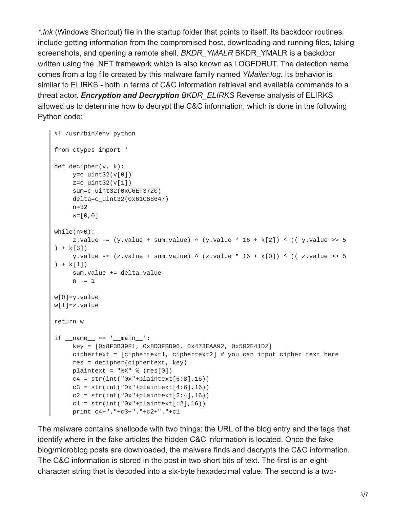*\*.lnk* (Windows Shortcut) file in the startup folder that points to itself. Its backdoor routines include getting information from the compromised host, downloading and running files, taking screenshots, and opening a remote shell. *BKDR\_YMALR* BKDR\_YMALR is a backdoor written using the .NET framework which is also known as LOGEDRUT. The detection name comes from a log file created by this malware family named *YMailer.log*. Its behavior is similar to ELIRKS - both in terms of C&C information retrieval and available commands to a threat actor. *Encryption and Decryption BKDR\_ELIRKS* Reverse analysis of ELIRKS allowed us to determine how to decrypt the C&C information, which is done in the following Python code:

```
#! /usr/bin/env python
from ctypes import *
def decipher(v, k):
     y=c_uint32(v[0])
     z=c_uint32(v[1])
     sum=c_uint32(0xC6EF3720)
     delta=c_uint32(0x61C88647)
     n=32
     w=[0,0]
while(n>0):z.value -= (y.value + sum.value) \land (y.value * 16 + k[2]) \land ((y.value >> 5
+ k[3]y.value -= (z.value + sum.value) \land (z.value * 16 + k[0]) \land (( z.value >> 5
) + k[1]sum.value += delta.value
     n = 1w[0]=y.value
w[1]=z.value
return w
if __name__ == '__main__':key = [0x8F3B39F1, 0x8D3FBD96, 0x473EAA92, 0x502E41D2]
     ciphertext = [ciphertext1, ciphertext2] # you can input cipher text hereres = decipher(ciphertext, key)
     plaintext = "%X" % (res[0])c4 = str(int("0x" + plantext{[6:8]}, 16))c3 = str(int("0x" + plaintext[4:6], 16))c2 = str(int("0x" + plaintext[2:4], 16))ct = str(int("0x" + plaintext[:2], 16))print c4+"."+c3+"."+c2+"."+c1
```
The malware contains shellcode with two things: the URL of the blog entry and the tags that identify where in the fake articles the hidden C&C information is located. Once the fake blog/microblog posts are downloaded, the malware finds and decrypts the C&C information. The C&C information is stored in the post in two short bits of text. The first is an eightcharacter string that is decoded into a six-byte hexadecimal value. The second is a two-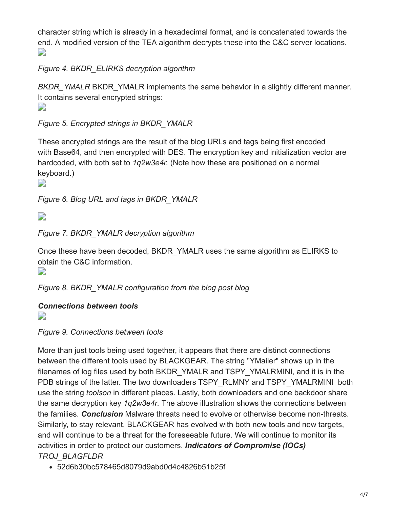character string which is already in a hexadecimal format, and is concatenated towards the end. A modified version of the [TEA algorithm](https://web.archive.org/web/20070127094759/http://www-users.cs.york.ac.uk/~matthew/TEA/) decrypts these into the C&C server locations.  $\mathbf{L}$ 

## *Figure 4. BKDR\_ELIRKS decryption algorithm*

*BKDR\_YMALR* BKDR\_YMALR implements the same behavior in a slightly different manner. It contains several encrypted strings: D

## *Figure 5. Encrypted strings in BKDR\_YMALR*

These encrypted strings are the result of the blog URLs and tags being first encoded with Base64, and then encrypted with DES. The encryption key and initialization vector are hardcoded, with both set to *1q2w3e4r.* (Note how these are positioned on a normal keyboard.)

D

*Figure 6. Blog URL and tags in BKDR\_YMALR*

 $\overline{\phantom{a}}$ 

*Figure 7. BKDR\_YMALR decryption algorithm*

Once these have been decoded, BKDR\_YMALR uses the same algorithm as ELIRKS to obtain the C&C information.

 $\mathbf{L}$ 

*Figure 8. BKDR\_YMALR configuration from the blog post blog*

### *Connections between tools*

D

*Figure 9. Connections between tools*

More than just tools being used together, it appears that there are distinct connections between the different tools used by BLACKGEAR. The string "YMailer" shows up in the filenames of log files used by both BKDR\_YMALR and TSPY\_YMALRMINI, and it is in the PDB strings of the latter. The two downloaders TSPY\_RLMNY and TSPY\_YMALRMINI\_both use the string *toolson* in different places. Lastly, both downloaders and one backdoor share the same decryption key *1q2w3e4r.* The above illustration shows the connections between the families. *Conclusion* Malware threats need to evolve or otherwise become non-threats. Similarly, to stay relevant, BLACKGEAR has evolved with both new tools and new targets, and will continue to be a threat for the foreseeable future. We will continue to monitor its activities in order to protect our customers. *Indicators of Compromise (IOCs) TROJ\_BLAGFLDR*

52d6b30bc578465d8079d9abd0d4c4826b51b25f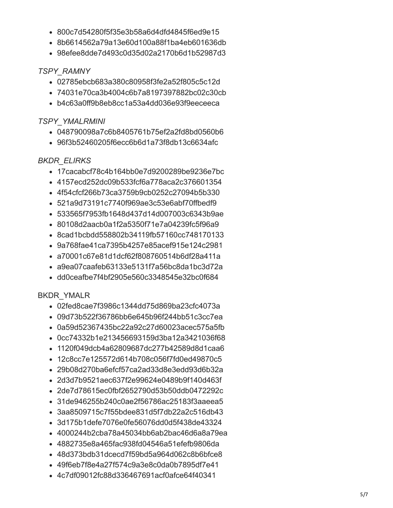- 800c7d54280f5f35e3b58a6d4dfd4845f6ed9e15
- 8b6614562a79a13e60d100a88f1ba4eb601636db
- 98efee8dde7d493c0d35d02a2170b6d1b52987d3

#### **TSPY RAMNY**

- 02785ebcb683a380c80958f3fe2a52f805c5c12d
- 74031e70ca3b4004c6b7a8197397882bc02c30cb
- b4c63a0ff9b8eb8cc1a53a4dd036e93f9eeceeca

#### **TSPY YMALRMINI**

- 048790098a7c6b8405761b75ef2a2fd8bd0560b6
- 96f3b52460205f6ecc6b6d1a73f8db13c6634afc

#### **BKDR ELIRKS**

- 17 cacab cf 78 c4b 164 bb0 e 7d 9 200 289 be 9 236 e 7 b c
- 4157ecd252dc09b533fcf6a778aca2c376601354
- 4f54cfcf266b73ca3759b9cb0252c27094b5b330
- 521a9d73191c7740f969ae3c53e6abf70ffbedf9
- 533565f7953fb1648d437d14d007003c6343b9ae
- 80108d2aacb0a1f2a5350f71e7a04239fc5f96a9
- 8cad1bcbdd558802b34119fb57160cc748170133
- 9a768fae41ca7395b4257e85acef915e124c2981
- · a70001c67e81d1dcf62f808760514b6df28a411a
- a9ea07caafeb63133e5131f7a56bc8da1bc3d72a
- dd0ceafbe7f4bf2905e560c3348545e32bc0f684

#### **BKDR YMALR**

- 02fed8cae7f3986c1344dd75d869ba23cfc4073a
- $\bullet$  09d73b522f36786bb6e645b96f244bb51c3cc7ea
- 0a59d52367435bc22a92c27d60023acec575a5fb
- 0cc74332b1e213456693159d3ba12a3421036f68
- 1120f049dcb4a62809687dc277b42589d8d1caa6
- 12c8cc7e125572d614b708c056f7fd0ed49870c5
- $\bullet$  29b08d270ba6efcf57ca2ad33d8e3edd93d6b32a
- 2d3d7b9521aec637f2e99624e0489b9f140d463f
- 2de7d78615ec0fbf2652790d53b50ddb0472292c
- 31de946255b240c0ae2f56786ac25183f3aaeea5
- 3aa8509715c7f55bdee831d5f7db22a2c516db43
- 3d175b1defe7076e0fe56076dd0d5f438de43324
- 4000244b2cba78a45034bb6ab2bac46d6a8a79ea
- 4882735e8a465fac938fd04546a51efefb9806da
- $-48d373bdb31dcecd7f59bd5a964d062c8b6bfce8$
- 49f6eb7f8e4a27f574c9a3e8c0da0b7895df7e41
- 4c7df09012fc88d336467691acf0afce64f40341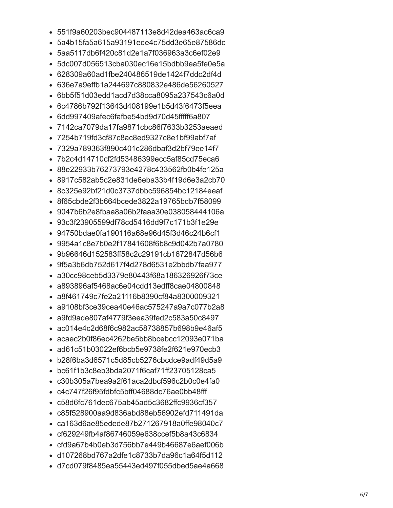- 551f9a60203bec904487113e8d42dea463ac6ca9
- 5a4b15fa5a615a93191ede4c75dd3e65e87586dc
- 5aa5117db6f420c81d2e1a7f036963a3c6ef02e9
- 5dc007d056513cba030ec16e15bdbb9ea5fe0e5a
- 628309a60ad1fbe240486519de1424f7ddc2df4d
- 636e7a9effb1a244697c880832e486de56260527
- 6bb5f51d03edd1acd7d38cca8095a237543c6a0d
- 6c4786b792f13643d408199e1b5d43f6473f5eea
- 6dd997409afec6fafbe54bd9d70d45fffff6a807
- 7142ca7079da17fa9871cbc86f7633b3253aeaed
- 7254b719fd3cf87c8ac8ed9327c8e1bf99abf7af
- 7329a789363f890c401c286dbaf3d2bf79ee14f7
- 7b2c4d14710cf2fd53486399ecc5af85cd75eca6
- 88e22933b76273793e4278c433562fb0b4fe125a
- 8917c582ab5c2e831de6eba33b4f19d6e3a2cb70
- 8c325e92bf21d0c3737dbbc596854bc12184eeaf
- 8f65cbde2f3b664bcede3822a19765bdb7f58099
- 9047b6b2e8fbaa8a06b2faaa30e038058444106a
- 93c3f23905599df78cd5416dd9f7c171b3f1e29e
- 94750bdae0fa190116a68e96d45f3d46c24b6cf1
- 9954a1c8e7b0e2f17841608f6b8c9d042b7a0780
- 9b96646d152583ff58c2c29191cb1672847d56b6
- 9f5a3b6db752d617f4d278d6531e2bbdb7faa977
- a30cc98ceb5d3379e80443f68a186326926f73ce
- a893896af5468ac6e04cdd13edff8cae04800848
- a8f461749c7fe2a21116b8390cf84a8300009321
- a9108bf3ce39cea40e46ac575247a9a7c077b2a8
- a9fd9ade807af4779f3eea39fed2c583a50c8497
- ac014e4c2d68f6c982ac58738857b698b9e46af5
- acaec2b0f86ec4262be5bb8bcebcc12093e071ba
- ad61c51b03022ef6bcb5e9738fe2f621e970ecb3
- b28f6ba3d6571c5d85cb5276cbcdce9adf49d5a9
- bc61f1b3c8eb3bda2071f6caf71ff23705128ca5
- c30b305a7bea9a2f61aca2dbcf596c2b0c0e4fa0
- c4c747f26f95fdbfc5bff04688dc76ae0bb48fff
- c58d6fc761dec675ab45ad5c3682ffc9936cf357
- c85f528900aa9d836abd88eb56902efd711491da
- ca163d6ae85edede87b271267918a0ffe98040c7
- cf629249fb4af86746059e638ccef5b8a43c6834
- cfd9a67b4b0eb3d756bb7e449b46687e6aef006b
- d107268bd767a2dfe1c8733b7da96c1a64f5d112
- d7cd079f8485ea55443ed497f055dbed5ae4a668